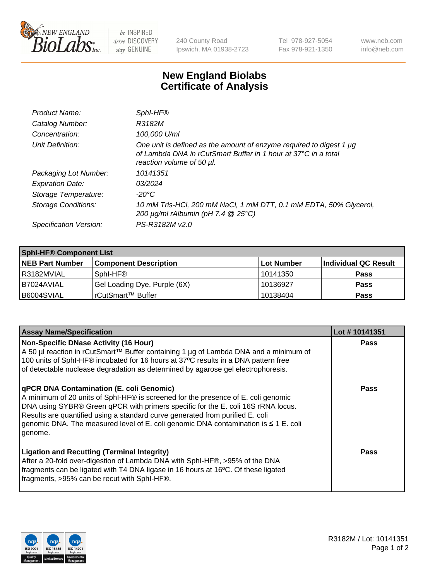

 $be$  INSPIRED drive DISCOVERY stay GENUINE

240 County Road Ipswich, MA 01938-2723 Tel 978-927-5054 Fax 978-921-1350 www.neb.com info@neb.com

## **New England Biolabs Certificate of Analysis**

| Sphl-HF®                                                                                                                                                           |
|--------------------------------------------------------------------------------------------------------------------------------------------------------------------|
| R3182M                                                                                                                                                             |
| 100,000 U/ml                                                                                                                                                       |
| One unit is defined as the amount of enzyme required to digest 1 µg<br>of Lambda DNA in rCutSmart Buffer in 1 hour at 37°C in a total<br>reaction volume of 50 µl. |
| 10141351                                                                                                                                                           |
| 03/2024                                                                                                                                                            |
| -20°C                                                                                                                                                              |
| 10 mM Tris-HCl, 200 mM NaCl, 1 mM DTT, 0.1 mM EDTA, 50% Glycerol,<br>200 $\mu$ g/ml rAlbumin (pH 7.4 $@$ 25°C)                                                     |
| PS-R3182M v2.0                                                                                                                                                     |
|                                                                                                                                                                    |

| <b>Sphi-HF® Component List</b> |                              |            |                      |  |  |
|--------------------------------|------------------------------|------------|----------------------|--|--|
| <b>NEB Part Number</b>         | <b>Component Description</b> | Lot Number | Individual QC Result |  |  |
| I R3182MVIAL                   | Sphl-HF <sup>®</sup>         | 10141350   | <b>Pass</b>          |  |  |
| I B7024AVIAL                   | Gel Loading Dye, Purple (6X) | 10136927   | <b>Pass</b>          |  |  |
| B6004SVIAL                     | rCutSmart™ Buffer            | 10138404   | <b>Pass</b>          |  |  |

| <b>Assay Name/Specification</b>                                                                                                                                                                                                                                                                                                                                                                             | Lot #10141351 |
|-------------------------------------------------------------------------------------------------------------------------------------------------------------------------------------------------------------------------------------------------------------------------------------------------------------------------------------------------------------------------------------------------------------|---------------|
| <b>Non-Specific DNase Activity (16 Hour)</b><br>A 50 µl reaction in rCutSmart™ Buffer containing 1 µg of Lambda DNA and a minimum of<br>100 units of SphI-HF® incubated for 16 hours at 37°C results in a DNA pattern free<br>of detectable nuclease degradation as determined by agarose gel electrophoresis.                                                                                              | Pass          |
| <b>qPCR DNA Contamination (E. coli Genomic)</b><br>A minimum of 20 units of SphI-HF® is screened for the presence of E. coli genomic<br>DNA using SYBR® Green qPCR with primers specific for the E. coli 16S rRNA locus.<br>Results are quantified using a standard curve generated from purified E. coli<br>genomic DNA. The measured level of E. coli genomic DNA contamination is ≤ 1 E. coli<br>genome. | Pass          |
| <b>Ligation and Recutting (Terminal Integrity)</b><br>After a 20-fold over-digestion of Lambda DNA with SphI-HF®, >95% of the DNA<br>fragments can be ligated with T4 DNA ligase in 16 hours at 16°C. Of these ligated<br>fragments, >95% can be recut with SphI-HF®.                                                                                                                                       | <b>Pass</b>   |